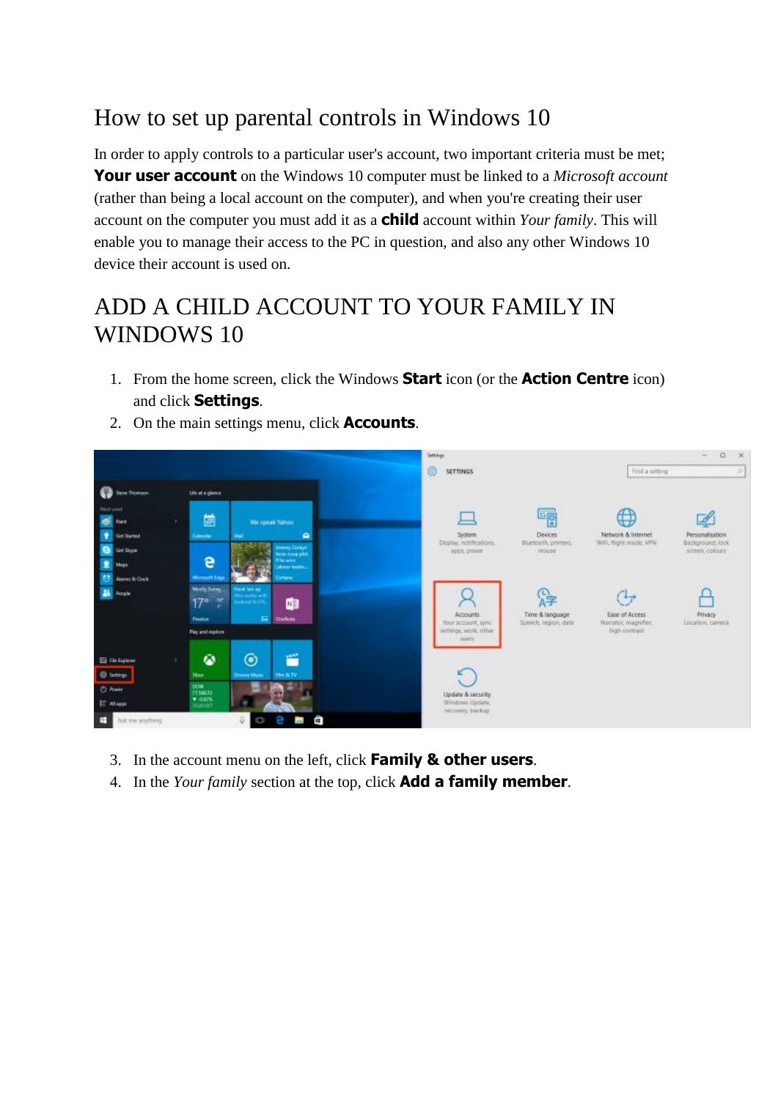# How to set up parental controls in Windows 10

In order to apply controls to a particular user's account, two important criteria must be met; **Your user account** on the Windows 10 computer must be linked to a *Microsoft account* (rather than being a local account on the computer), and when you're creating their user account on the computer you must add it as a **child** account within *Your family*. This will enable you to manage their access to the PC in question, and also any other Windows 10 device their account is used on.

## ADD A CHILD ACCOUNT TO YOUR FAMILY IN WINDOWS 10

1. From the home screen, click the Windows **Start** icon (or the **Action Centre** icon) and click **Settings**.



2. On the main settings menu, click **Accounts**.

- 3. In the account menu on the left, click **Family & other users**.
- 4. In the *Your family* section at the top, click **Add a family member**.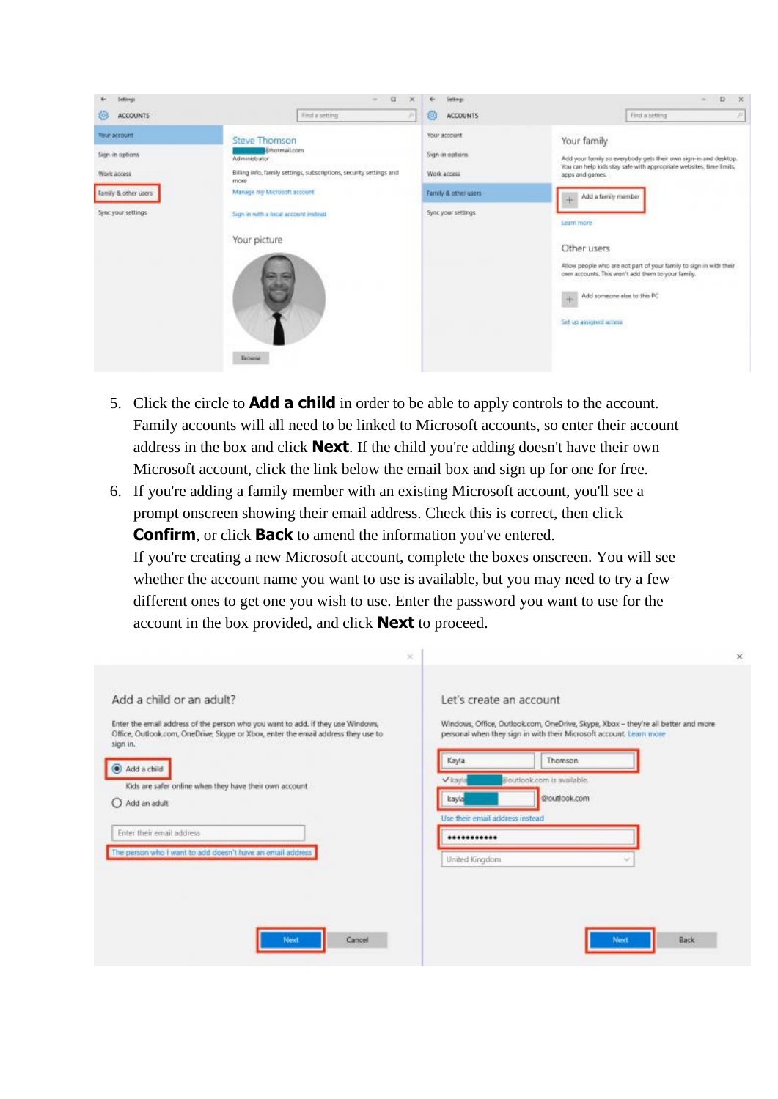| Settings                                                                                      | O<br>m.<br>×                                                                                                                                                                                                                 | Settings                                                                                     | D<br>- 56<br>$\sim$                                                                                                                                                                                                                                                                                                                                      |
|-----------------------------------------------------------------------------------------------|------------------------------------------------------------------------------------------------------------------------------------------------------------------------------------------------------------------------------|----------------------------------------------------------------------------------------------|----------------------------------------------------------------------------------------------------------------------------------------------------------------------------------------------------------------------------------------------------------------------------------------------------------------------------------------------------------|
| <b>ACCOUNTS</b>                                                                               | Find a setting<br>Ж                                                                                                                                                                                                          | <b>ACCOUNTS</b><br>ø                                                                         | Find a setting<br>P                                                                                                                                                                                                                                                                                                                                      |
| Vour account<br>Sign-in options<br>Work access<br>Family & other users<br>Sync your settings: | <b>Steve Thomson</b><br>Streamail.com<br>Administrator<br>Billing info, family settings, subscriptions, security settings and<br>more<br>Manage my Microsoft account<br>Sign in with a local account instead<br>Your picture | Your account<br>Sign-in options<br>Work access<br>Family & other users<br>Sync your settings | Your family<br>Add your family so everybody gets their own sign-in and desktop.<br>You can help kids stay safe with appropriate websites, time limits,<br>apps and games.<br>Add a family member<br>Learn more<br>Other users<br>Allow people who are not part of your family to sign in with their<br>cem accounts. This won't add them to your family. |
|                                                                                               | <b>Brownial</b>                                                                                                                                                                                                              |                                                                                              | Add someone else to this PC<br>÷<br>Set up assigned access                                                                                                                                                                                                                                                                                               |

- 5. Click the circle to **Add a child** in order to be able to apply controls to the account. Family accounts will all need to be linked to Microsoft accounts, so enter their account address in the box and click **Next**. If the child you're adding doesn't have their own Microsoft account, click the link below the email box and sign up for one for free.
- 6. If you're adding a family member with an existing Microsoft account, you'll see a prompt onscreen showing their email address. Check this is correct, then click **Confirm**, or click **Back** to amend the information you've entered. If you're creating a new Microsoft account, complete the boxes onscreen. You will see whether the account name you want to use is available, but you may need to try a few different ones to get one you wish to use. Enter the password you want to use for the account in the box provided, and click **Next** to proceed.

|                                                                                                                                                                                  | ×                                                                                                                                                        |
|----------------------------------------------------------------------------------------------------------------------------------------------------------------------------------|----------------------------------------------------------------------------------------------------------------------------------------------------------|
| Add a child or an adult?                                                                                                                                                         | Let's create an account                                                                                                                                  |
| Enter the email address of the person who you want to add. If they use Windows,<br>Office, Outlook.com, OneDrive, Skype or Xbox, enter the email address they use to<br>sign in. | Windows, Office, Outlook.com, OneDrive, Skype, Xbox - they're all better and more<br>personal when they sign in with their Microsoft account. Learn more |
| Add a child                                                                                                                                                                      | Kayla<br>Thomson                                                                                                                                         |
| Kids are safer online when they have their own account                                                                                                                           | Vkayla<br>Woutlook.com is available.                                                                                                                     |
| Add an adult                                                                                                                                                                     | @outlook.com<br>kayla                                                                                                                                    |
| Enter their email address                                                                                                                                                        | Use their email address instead<br>                                                                                                                      |
| The person who I want to add doesn't have an email address                                                                                                                       | United Kingdom<br>$\sim$                                                                                                                                 |
|                                                                                                                                                                                  |                                                                                                                                                          |
|                                                                                                                                                                                  |                                                                                                                                                          |
|                                                                                                                                                                                  |                                                                                                                                                          |
| Cancel<br>Next                                                                                                                                                                   | Back<br>Next                                                                                                                                             |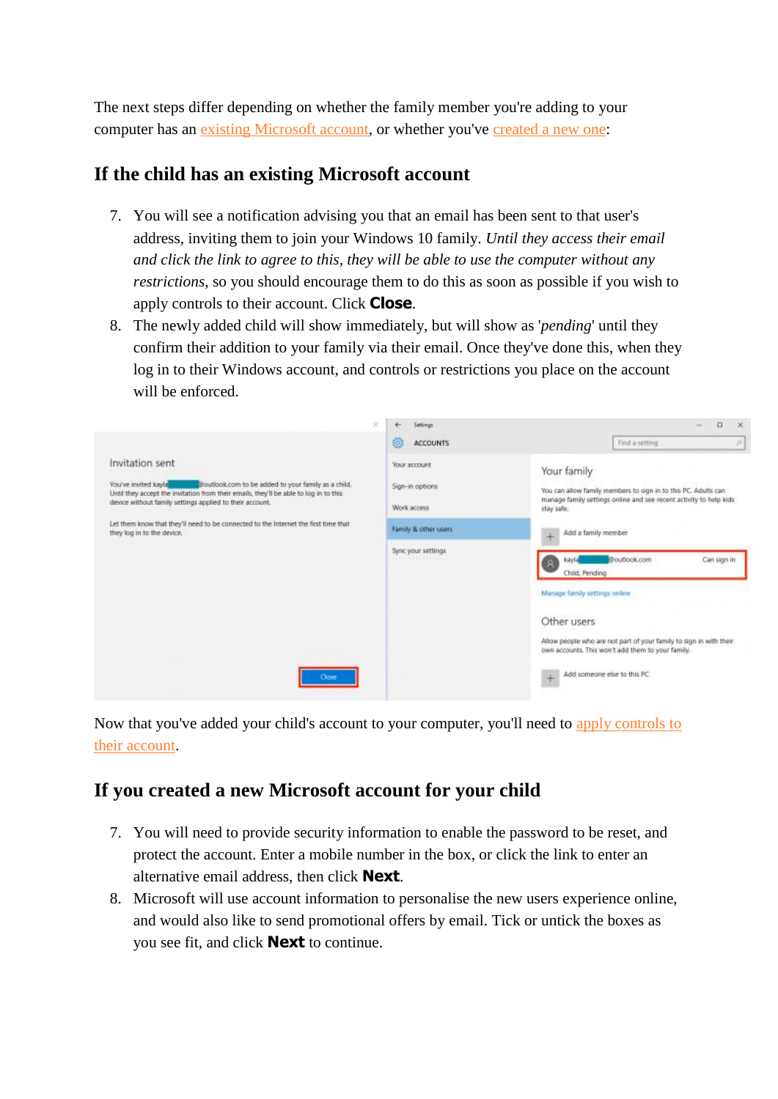The next steps differ depending on whether the family member you're adding to your computer has an [existing Microsoft account,](http://www.geeksquad.co.uk/articles/set-up-parental-controls-windows-10#Child%20account%20uses%20existing%20microsoft%20account) or whether you've [created a new one:](http://www.geeksquad.co.uk/articles/set-up-parental-controls-windows-10#child%20account%20has%20new%20microsoft%20account%20created)

#### **If the child has an existing Microsoft account**

- 7. You will see a notification advising you that an email has been sent to that user's address, inviting them to join your Windows 10 family. *Until they access their email and click the link to agree to this, they will be able to use the computer without any restrictions*, so you should encourage them to do this as soon as possible if you wish to apply controls to their account. Click **Close**.
- 8. The newly added child will show immediately, but will show as '*pending*' until they confirm their addition to your family via their email. Once they've done this, when they log in to their Windows account, and controls or restrictions you place on the account will be enforced.

| ×                                                                                                                                                                                                                                                                                                                                          | Settings                                        | п<br>$\times$<br>$\sim$                                                                                                                                                                                                           |
|--------------------------------------------------------------------------------------------------------------------------------------------------------------------------------------------------------------------------------------------------------------------------------------------------------------------------------------------|-------------------------------------------------|-----------------------------------------------------------------------------------------------------------------------------------------------------------------------------------------------------------------------------------|
|                                                                                                                                                                                                                                                                                                                                            | Ø<br><b>ACCOUNTS</b>                            | Find a setting<br>p)                                                                                                                                                                                                              |
| Invitation sent<br>You've invited kayla<br>Doutlook.com to be added to your family as a child.<br>Until they accept the invitation from their emails, they'll be able to log in to this<br>device without family settings applied to their account.<br>Let them know that they'll need to be connected to the Internet the first time that | Your account<br>Sign-in options<br>Work access. | Your family<br>You can allow family members to sign in to this PC. Adults can<br>manage family settings online and see recent activity to help kids<br>stay safe.                                                                 |
| they log in to the device.                                                                                                                                                                                                                                                                                                                 | Family & other users                            | Add a family member                                                                                                                                                                                                               |
|                                                                                                                                                                                                                                                                                                                                            | Sync your settings                              | @outlook.com<br>Can sign in<br>kayta<br>Child, Pending<br>Manage family settings online<br>Other users<br>Allow people who are not part of your family to sign in with their<br>own accounts. This won't add them to your family. |
| Close                                                                                                                                                                                                                                                                                                                                      |                                                 | Add someone else to this PC<br>$+$                                                                                                                                                                                                |

Now that you've added your child's account to your computer, you'll need to [apply controls to](http://www.geeksquad.co.uk/articles/set-up-parental-controls-windows-10#Manage%20child%20account%20with%20parental%20controls)  [their account.](http://www.geeksquad.co.uk/articles/set-up-parental-controls-windows-10#Manage%20child%20account%20with%20parental%20controls)

### **If you created a new Microsoft account for your child**

- 7. You will need to provide security information to enable the password to be reset, and protect the account. Enter a mobile number in the box, or click the link to enter an alternative email address, then click **Next**.
- 8. Microsoft will use account information to personalise the new users experience online, and would also like to send promotional offers by email. Tick or untick the boxes as you see fit, and click **Next** to continue.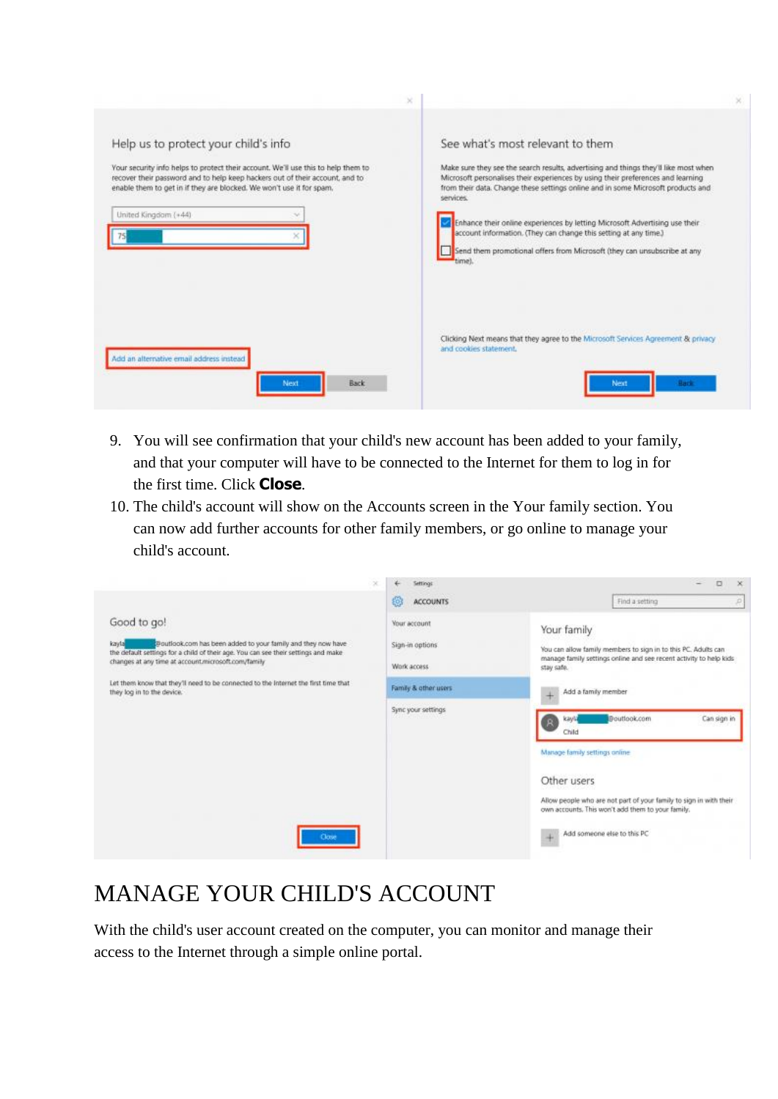|                                                                                                                                                                                                                                                                                                           | v                                                                                                                                                                                                                                                                                                                                                                                                                                                                                                                                                      |              |
|-----------------------------------------------------------------------------------------------------------------------------------------------------------------------------------------------------------------------------------------------------------------------------------------------------------|--------------------------------------------------------------------------------------------------------------------------------------------------------------------------------------------------------------------------------------------------------------------------------------------------------------------------------------------------------------------------------------------------------------------------------------------------------------------------------------------------------------------------------------------------------|--------------|
| Help us to protect your child's info<br>Your security info helps to protect their account. We'll use this to help them to<br>recover their password and to help keep hackers out of their account, and to<br>enable them to get in if they are blocked. We won't use it for spam,<br>United Kingdom (+44) | See what's most relevant to them<br>Make sure they see the search results, advertising and things they'll like most when<br>Microsoft personalises their experiences by using their preferences and learning<br>from their data. Change these settings online and in some Microsoft products and<br>services.<br>Enhance their online experiences by letting Microsoft Advertising use their<br>account information. (They can change this setting at any time.)<br>Send them promotional offers from Microsoft (they can unsubscribe at any<br>time). |              |
| Add an alternative email address instead<br><b>Back</b><br>Next                                                                                                                                                                                                                                           | Clicking Next means that they agree to the Microsoft Services Agreement & privacy<br>and cookies statement.                                                                                                                                                                                                                                                                                                                                                                                                                                            | Next<br>Back |

- 9. You will see confirmation that your child's new account has been added to your family, and that your computer will have to be connected to the Internet for them to log in for the first time. Click **Close**.
- 10. The child's account will show on the Accounts screen in the Your family section. You can now add further accounts for other family members, or go online to manage your child's account.



## MANAGE YOUR CHILD'S ACCOUNT

With the child's user account created on the computer, you can monitor and manage their access to the Internet through a simple online portal.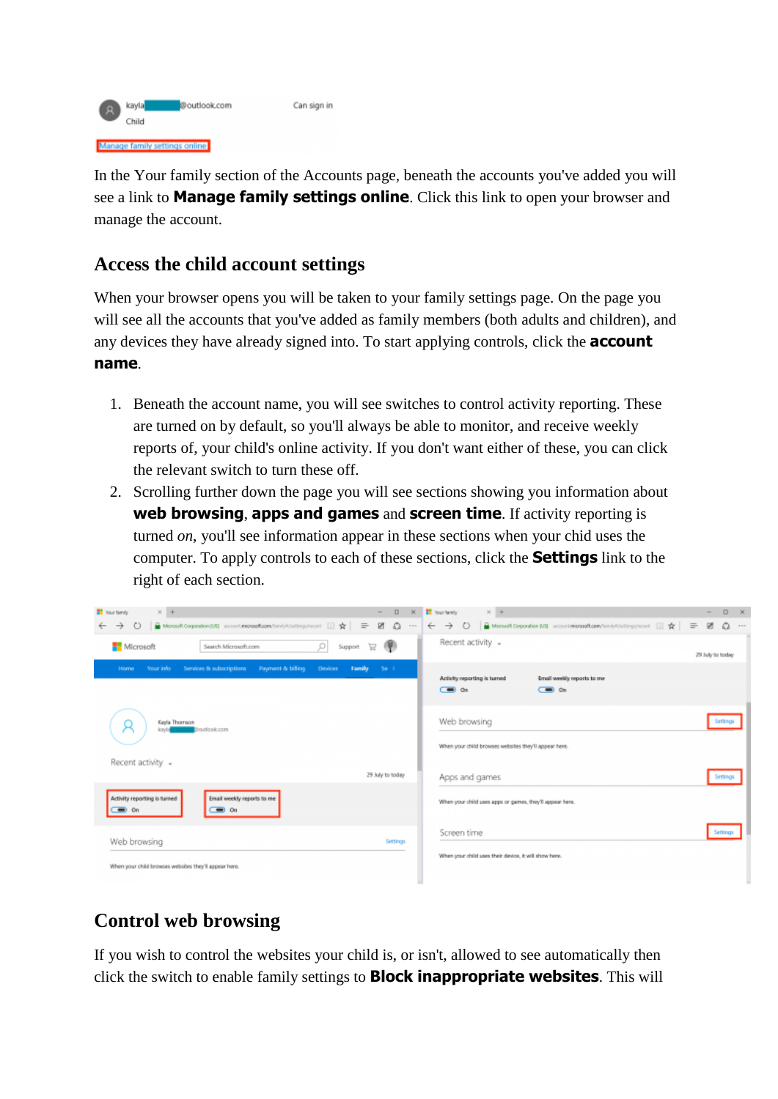

In the Your family section of the Accounts page, beneath the accounts you've added you will see a link to **Manage family settings online**. Click this link to open your browser and manage the account.

#### **Access the child account settings**

When your browser opens you will be taken to your family settings page. On the page you will see all the accounts that you've added as family members (both adults and children), and any devices they have already signed into. To start applying controls, click the **account name**.

- 1. Beneath the account name, you will see switches to control activity reporting. These are turned on by default, so you'll always be able to monitor, and receive weekly reports of, your child's online activity. If you don't want either of these, you can click the relevant switch to turn these off.
- 2. Scrolling further down the page you will see sections showing you information about **web browsing**, **apps and games** and **screen time**. If activity reporting is turned *on*, you'll see information appear in these sections when your chid uses the computer. To apply controls to each of these sections, click the **Settings** link to the right of each section.

| $\times$ +<br><b>Nour family</b><br>$\sim$<br>→ 0 a Motooft Corporation [US] account microsoft.com/family4/settings/recent [ ] ☆ = | D X <sup>1</sup> Your fumily X +<br>$0 \times$<br>$\overline{\phantom{a}}$<br>$20$ $\Omega$ $\cdots$                                                                                                                                                                                                                                                                                                                                                                           |
|------------------------------------------------------------------------------------------------------------------------------------|--------------------------------------------------------------------------------------------------------------------------------------------------------------------------------------------------------------------------------------------------------------------------------------------------------------------------------------------------------------------------------------------------------------------------------------------------------------------------------|
| Support $\Box$<br>Microsoft<br>o<br>Search Microsoft.com                                                                           | Recent activity v<br>29 July to today                                                                                                                                                                                                                                                                                                                                                                                                                                          |
| Payment & billing<br>Family<br>Your into<br>Services & subscriptions<br>Devices :<br>Se 3<br>Home                                  | Activity reporting is turned<br>Email weekly reports to me<br>$\sum_{n=1}^{\infty}$ On<br>$\overline{C}$ $\overline{C}$ $\overline{C}$ $\overline{C}$ $\overline{C}$ $\overline{C}$ $\overline{C}$ $\overline{C}$ $\overline{C}$ $\overline{C}$ $\overline{C}$ $\overline{C}$ $\overline{C}$ $\overline{C}$ $\overline{C}$ $\overline{C}$ $\overline{C}$ $\overline{C}$ $\overline{C}$ $\overline{C}$ $\overline{C}$ $\overline{C}$ $\overline{C}$ $\overline{C}$ $\overline{$ |
| Kayla Thomson<br>kayta<br><b>Broutlook.com</b>                                                                                     | Web browsing<br>Settings<br>When your child browses websites they'll appear here.                                                                                                                                                                                                                                                                                                                                                                                              |
| Recent activity v<br>29 July to today                                                                                              | Apps and games<br>Settings                                                                                                                                                                                                                                                                                                                                                                                                                                                     |
| Email weekly reports to me<br>Activity reporting is turned<br>$\equiv$ on                                                          | When your child uses apps or games, they'll appear here.                                                                                                                                                                                                                                                                                                                                                                                                                       |
| Web browsing<br>Settings                                                                                                           | Screen time<br>Settings                                                                                                                                                                                                                                                                                                                                                                                                                                                        |
| When your child browses websites they'll appear here.                                                                              | When your child uses their device, it will show here.                                                                                                                                                                                                                                                                                                                                                                                                                          |

### **Control web browsing**

If you wish to control the websites your child is, or isn't, allowed to see automatically then click the switch to enable family settings to **Block inappropriate websites**. This will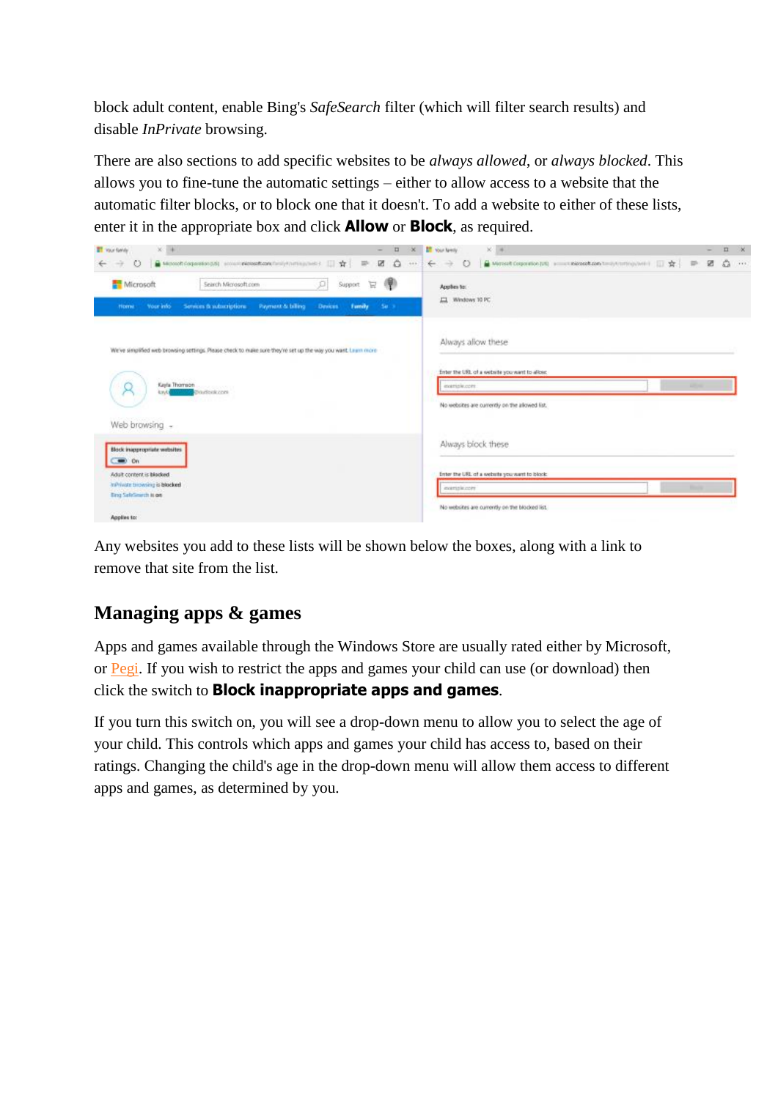block adult content, enable Bing's *SafeSearch* filter (which will filter search results) and disable *InPrivate* browsing.

There are also sections to add specific websites to be *always allowed*, or *always blocked*. This allows you to fine-tune the automatic settings – either to allow access to a website that the automatic filter blocks, or to block one that it doesn't. To add a website to either of these lists, enter it in the appropriate box and click **Allow** or **Block**, as required.

| $x - 1$<br><b>ET</b> Your family                                                                                      | $\Box$<br>$\propto$<br>$\overline{\phantom{a}}$ | $\times$ 4<br><b>IT You landy</b>                    | $\Box$<br>- 30 |
|-----------------------------------------------------------------------------------------------------------------------|-------------------------------------------------|------------------------------------------------------|----------------|
| △ Microsoft Corporation (b) screen in interest contribution in interest in it is the United States<br>$\circ$<br>$-2$ | ø<br>۵<br>$4 + 1$                               | 図<br>$\circ$<br>←<br>$\overline{w}$<br>$\rightarrow$ | ۵<br>7.114     |
| O<br>Microsoft<br>Search Microsoft.com<br>Support                                                                     | 帚<br>e                                          | Applies to:                                          |                |
| Payment & billing<br>Family<br>Your info<br>Services & subscriptions<br>Desires.<br><b>Home</b>                       | 54.3                                            | 口 Windows 10 PC<br>1000000000                        |                |
| We've simplified web browsing settings. Please check to make sure they're set up the way you want. Linux more         |                                                 | Always allow these                                   |                |
|                                                                                                                       |                                                 | finter the URL of a website you want to allow.       |                |
| Keyla Thomson<br><b>Braziloris</b><br><b>LV/U</b>                                                                     |                                                 | ensemble.com                                         |                |
|                                                                                                                       |                                                 | No websites are currently on the allowed list.       |                |
| Web browsing -                                                                                                        |                                                 |                                                      |                |
| Block inappropriate websites<br>$\equiv$ on                                                                           |                                                 | Always block these                                   |                |
| Adult content is blacked.                                                                                             |                                                 | Enter the URL of a website you want to block:        |                |
| Infrinishe browning is blocked.<br><b>Bing SafeSmirch Is on</b>                                                       |                                                 | mariale.com                                          |                |
| Applies to:                                                                                                           |                                                 | No websites are ourrently on the blocked list.       |                |

Any websites you add to these lists will be shown below the boxes, along with a link to remove that site from the list.

## **Managing apps & games**

Apps and games available through the Windows Store are usually rated either by Microsoft, or [Pegi.](http://www.pegi.info/en/index/) If you wish to restrict the apps and games your child can use (or download) then click the switch to **Block inappropriate apps and games**.

If you turn this switch on, you will see a drop-down menu to allow you to select the age of your child. This controls which apps and games your child has access to, based on their ratings. Changing the child's age in the drop-down menu will allow them access to different apps and games, as determined by you.